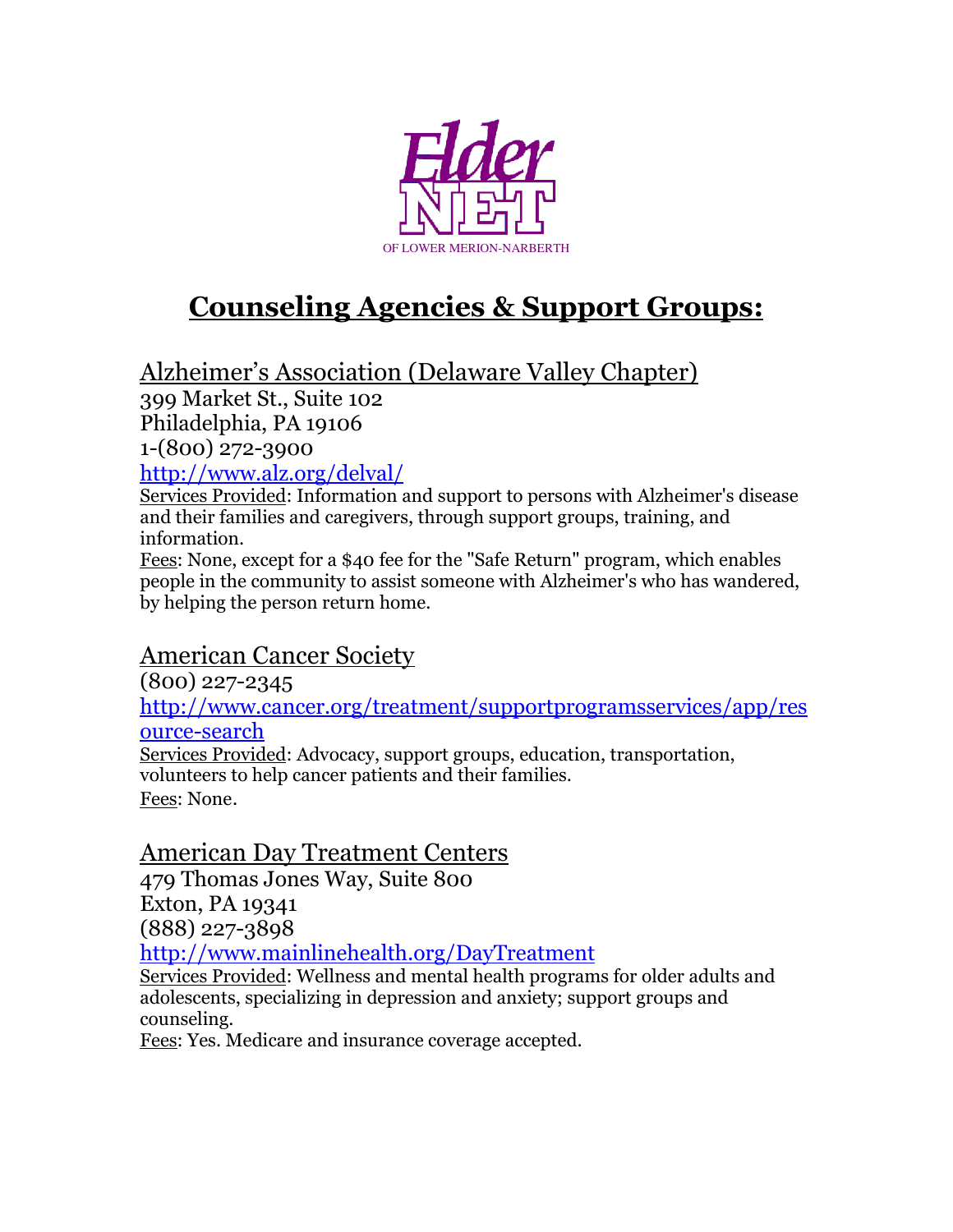

# **Counseling Agencies & Support Groups:**

Alzheimer's Association (Delaware Valley Chapter)

399 Market St., Suite 102

Philadelphia, PA 19106

1-(800) 272-3900

<http://www.alz.org/delval/>

Services Provided: Information and support to persons with Alzheimer's disease and their families and caregivers, through support groups, training, and information.

Fees: None, except for a \$40 fee for the "Safe Return" program, which enables people in the community to assist someone with Alzheimer's who has wandered, by helping the person return home.

# American Cancer Society

(800) 227-2345

[http://www.cancer.org/treatment/supportprogramsservices/app/res](http://www.cancer.org/treatment/supportprogramsservices/app/resource-search) [ource-search](http://www.cancer.org/treatment/supportprogramsservices/app/resource-search)

Services Provided: Advocacy, support groups, education, transportation, volunteers to help cancer patients and their families. Fees: None.

# American Day Treatment Centers

479 Thomas Jones Way, Suite 800 Exton, PA 19341 (888) 227-3898

<http://www.mainlinehealth.org/DayTreatment>

Services Provided: Wellness and mental health programs for older adults and adolescents, specializing in depression and anxiety; support groups and counseling.

Fees: Yes. Medicare and insurance coverage accepted.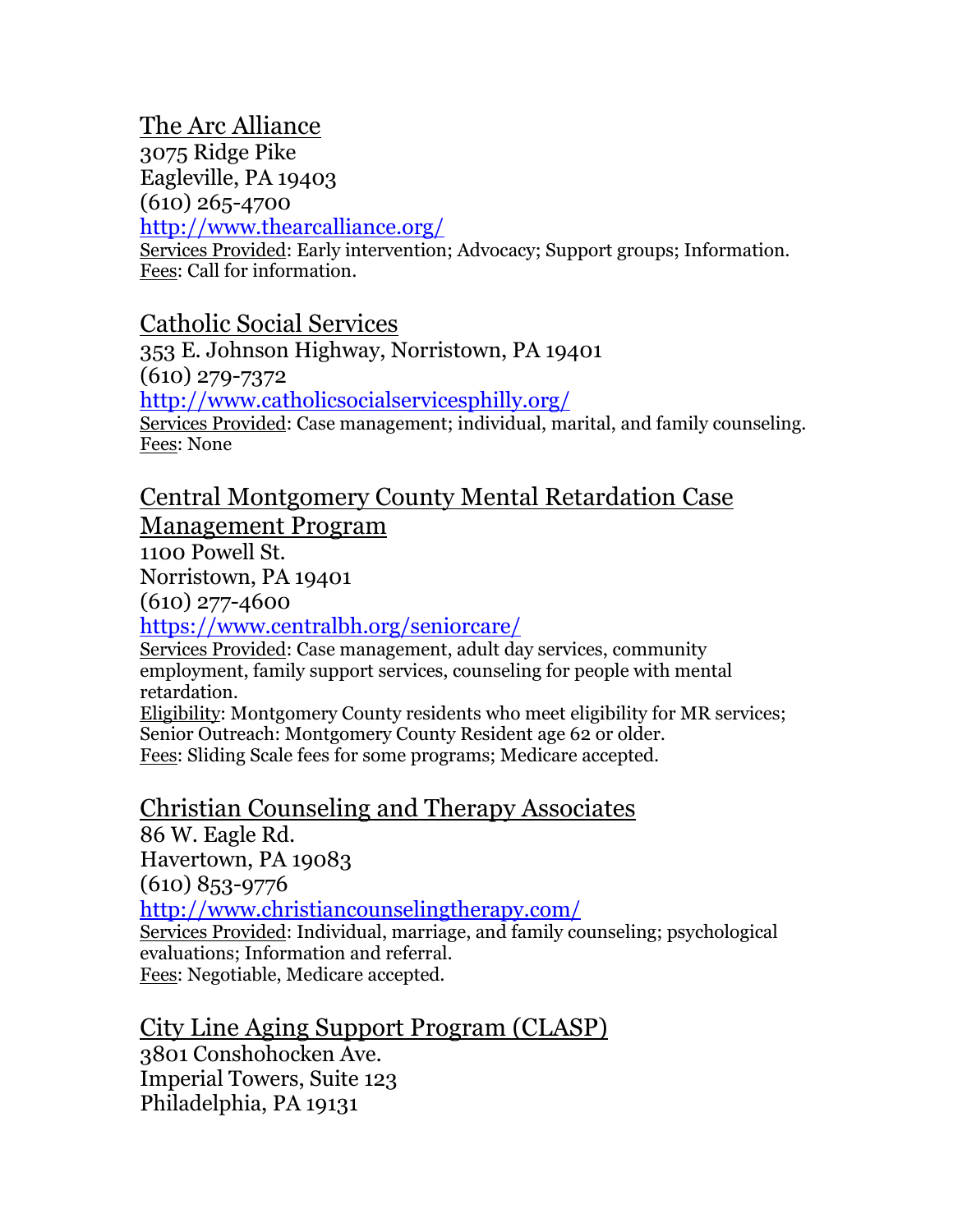# The Arc Alliance

3075 Ridge Pike Eagleville, PA 19403 (610) 265-4700 <http://www.thearcalliance.org/>

Services Provided: Early intervention; Advocacy; Support groups; Information. Fees: Call for information.

# Catholic Social Services

353 E. Johnson Highway, Norristown, PA 19401 (610) 279-7372 <http://www.catholicsocialservicesphilly.org/> Services Provided: Case management; individual, marital, and family counseling. Fees: None

#### Central Montgomery County Mental Retardation Case Management Program

1100 Powell St.

Norristown, PA 19401

(610) 277-4600

<https://www.centralbh.org/seniorcare/>

Services Provided: Case management, adult day services, community employment, family support services, counseling for people with mental retardation.

Eligibility: Montgomery County residents who meet eligibility for MR services; Senior Outreach: Montgomery County Resident age 62 or older. Fees: Sliding Scale fees for some programs; Medicare accepted.

# Christian Counseling and Therapy Associates

86 W. Eagle Rd. Havertown, PA 19083 (610) 853-9776 <http://www.christiancounselingtherapy.com/> Services Provided: Individual, marriage, and family counseling; psychological evaluations; Information and referral. Fees: Negotiable, Medicare accepted.

City Line Aging Support Program (CLASP) 3801 Conshohocken Ave. Imperial Towers, Suite 123 Philadelphia, PA 19131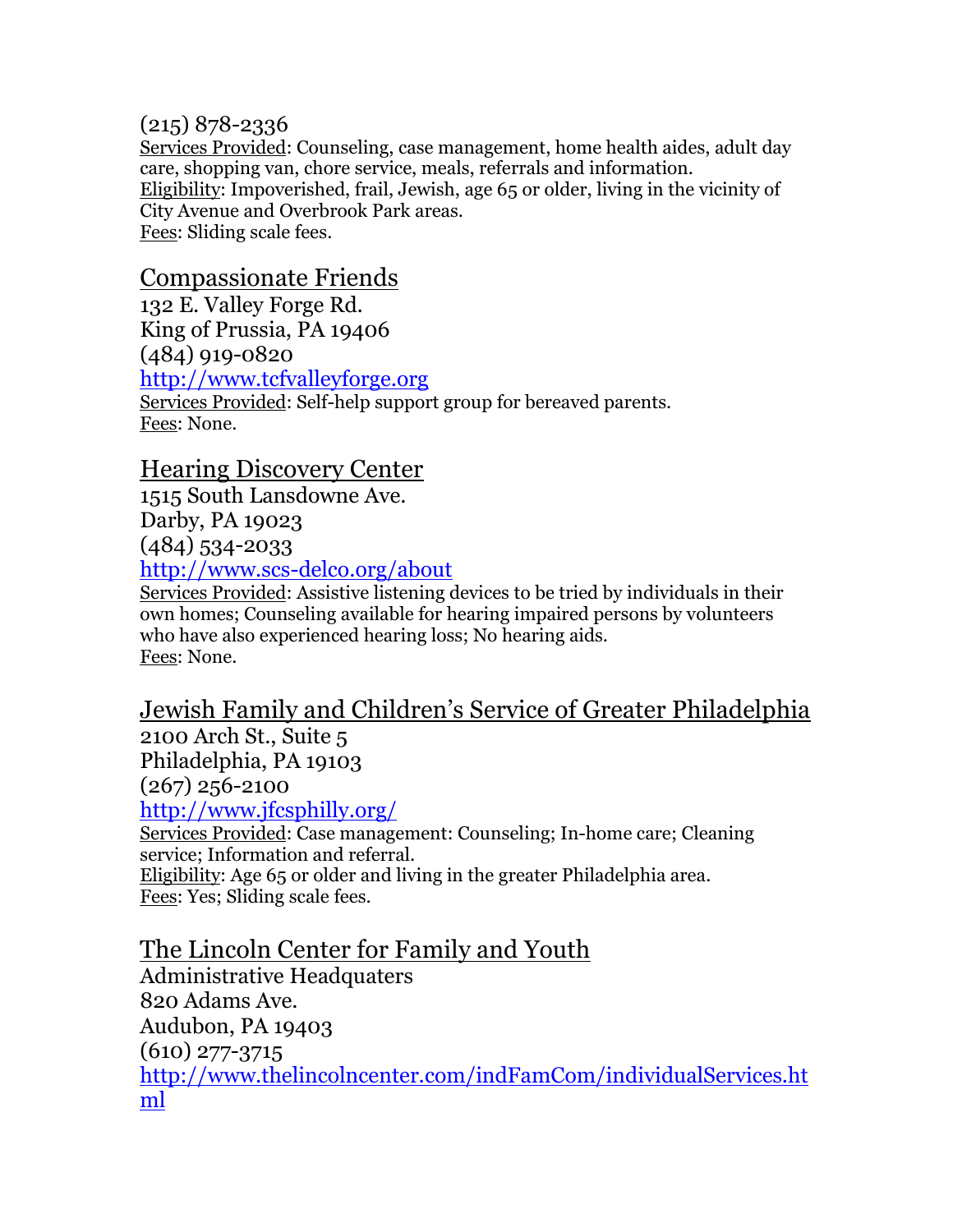#### (215) 878-2336

Services Provided: Counseling, case management, home health aides, adult day care, shopping van, chore service, meals, referrals and information. Eligibility: Impoverished, frail, Jewish, age 65 or older, living in the vicinity of City Avenue and Overbrook Park areas. Fees: Sliding scale fees.

## Compassionate Friends

132 E. Valley Forge Rd. King of Prussia, PA 19406 (484) 919-0820 [http://www.tcfvalleyforge.org](http://www.tcfvalleyforge.org/)  Services Provided: Self-help support group for bereaved parents. Fees: None.

#### Hearing Discovery Center

1515 South Lansdowne Ave. Darby, PA 19023 (484) 534-2033

<http://www.scs-delco.org/about>

Services Provided: Assistive listening devices to be tried by individuals in their own homes; Counseling available for hearing impaired persons by volunteers who have also experienced hearing loss; No hearing aids. Fees: None.

# Jewish Family and Children's Service of Greater Philadelphia

2100 Arch St., Suite 5 Philadelphia, PA 19103 (267) 256-2100

<http://www.jfcsphilly.org/>

Services Provided: Case management: Counseling; In-home care; Cleaning service; Information and referral. Eligibility: Age 65 or older and living in the greater Philadelphia area.

Fees: Yes; Sliding scale fees.

The Lincoln Center for Family and Youth Administrative Headquaters 820 Adams Ave. Audubon, PA 19403 (610) 277-3715 [http://www.thelincolncenter.com/indFamCom/individualServices.ht](http://www.thelincolncenter.com/indFamCom/individualServices.html) [ml](http://www.thelincolncenter.com/indFamCom/individualServices.html)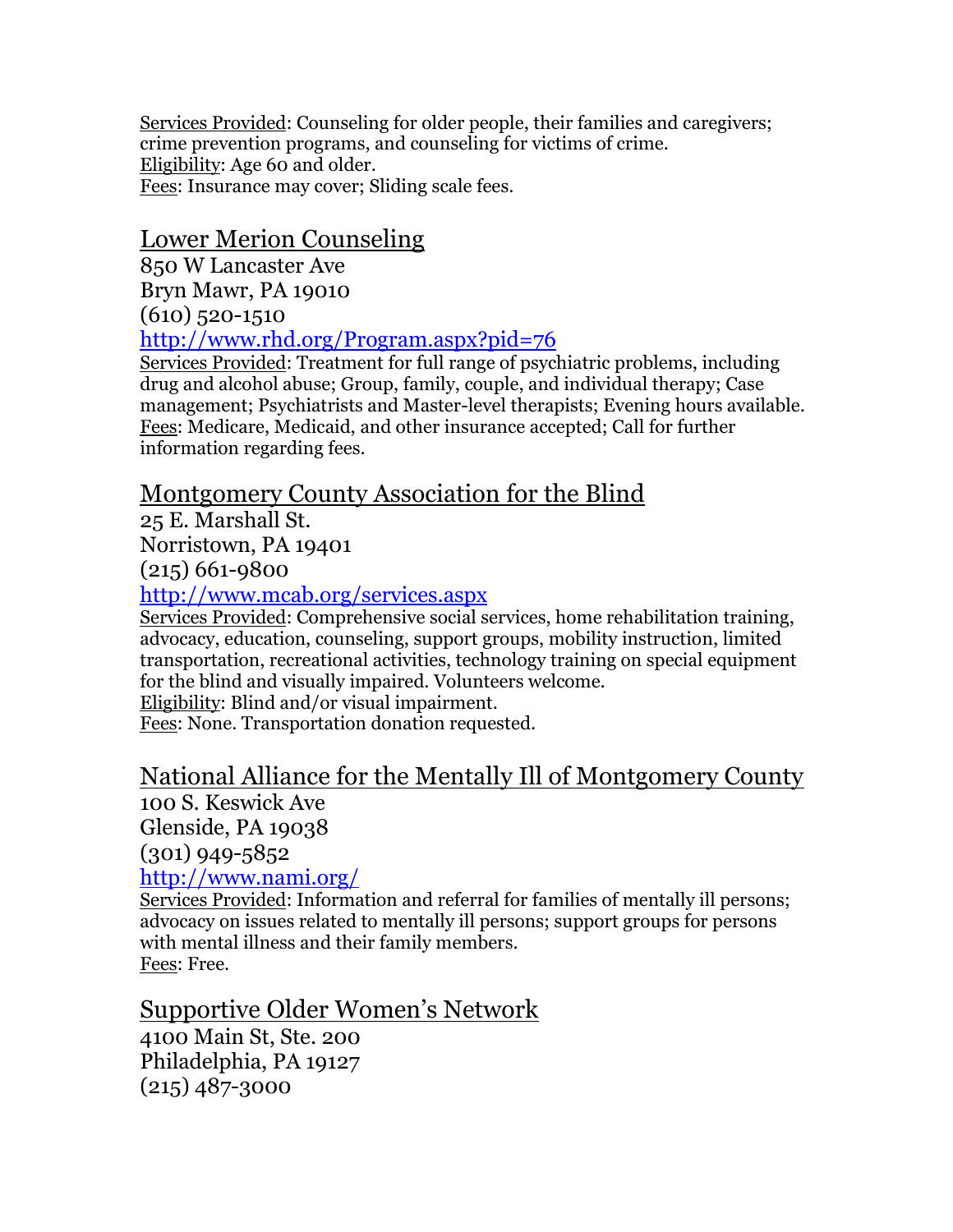Services Provided: Counseling for older people, their families and caregivers; crime prevention programs, and counseling for victims of crime. Eligibility: Age 60 and older. Fees: Insurance may cover; Sliding scale fees.

# Lower Merion Counseling

850 W Lancaster Ave Bryn Mawr, PA 19010  $(610)$  520-1510

<http://www.rhd.org/Program.aspx?pid=76>

Services Provided: Treatment for full range of psychiatric problems, including drug and alcohol abuse; Group, family, couple, and individual therapy; Case management; Psychiatrists and Master-level therapists; Evening hours available. Fees: Medicare, Medicaid, and other insurance accepted; Call for further information regarding fees.

# Montgomery County Association for the Blind

25 E. Marshall St. Norristown, PA 19401

(215) 661-9800

#### <http://www.mcab.org/services.aspx>

Services Provided: Comprehensive social services, home rehabilitation training, advocacy, education, counseling, support groups, mobility instruction, limited transportation, recreational activities, technology training on special equipment for the blind and visually impaired. Volunteers welcome.

Eligibility: Blind and/or visual impairment.

Fees: None. Transportation donation requested.

# National Alliance for the Mentally Ill of Montgomery County

100 S. Keswick Ave Glenside, PA 19038 (301) 949-5852 <http://www.nami.org/>

Services Provided: Information and referral for families of mentally ill persons; advocacy on issues related to mentally ill persons; support groups for persons with mental illness and their family members. Fees: Free.

# Supportive Older Women's Network

4100 Main St, Ste. 200 Philadelphia, PA 19127 (215) 487-3000